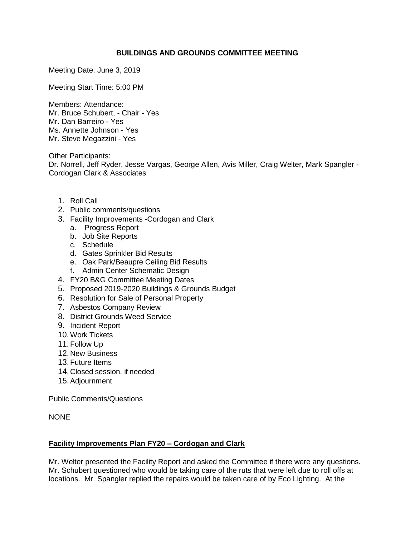## **BUILDINGS AND GROUNDS COMMITTEE MEETING**

Meeting Date: June 3, 2019

Meeting Start Time: 5:00 PM

Members: Attendance: Mr. Bruce Schubert, - Chair - Yes Mr. Dan Barreiro - Yes Ms. Annette Johnson - Yes Mr. Steve Megazzini - Yes

Other Participants: Dr. Norrell, Jeff Ryder, Jesse Vargas, George Allen, Avis Miller, Craig Welter, Mark Spangler - Cordogan Clark & Associates

- 1. Roll Call
- 2. Public comments/questions
- 3. Facility Improvements -Cordogan and Clark
	- a. Progress Report
	- b. Job Site Reports
	- c. Schedule
	- d. Gates Sprinkler Bid Results
	- e. Oak Park/Beaupre Ceiling Bid Results
	- f. Admin Center Schematic Design
- 4. FY20 B&G Committee Meeting Dates
- 5. Proposed 2019-2020 Buildings & Grounds Budget
- 6. Resolution for Sale of Personal Property
- 7. Asbestos Company Review
- 8. District Grounds Weed Service
- 9. Incident Report
- 10. Work Tickets
- 11. Follow Up
- 12. New Business
- 13.Future Items
- 14. Closed session, if needed
- 15.Adjournment

Public Comments/Questions

NONE

## **Facility Improvements Plan FY20 – Cordogan and Clark**

Mr. Welter presented the Facility Report and asked the Committee if there were any questions. Mr. Schubert questioned who would be taking care of the ruts that were left due to roll offs at locations. Mr. Spangler replied the repairs would be taken care of by Eco Lighting. At the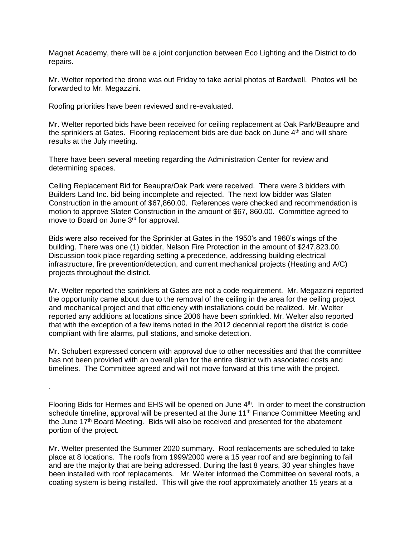Magnet Academy, there will be a joint conjunction between Eco Lighting and the District to do repairs.

Mr. Welter reported the drone was out Friday to take aerial photos of Bardwell. Photos will be forwarded to Mr. Megazzini.

Roofing priorities have been reviewed and re-evaluated.

.

Mr. Welter reported bids have been received for ceiling replacement at Oak Park/Beaupre and the sprinklers at Gates. Flooring replacement bids are due back on June 4<sup>th</sup> and will share results at the July meeting.

There have been several meeting regarding the Administration Center for review and determining spaces.

Ceiling Replacement Bid for Beaupre/Oak Park were received. There were 3 bidders with Builders Land Inc. bid being incomplete and rejected. The next low bidder was Slaten Construction in the amount of \$67,860.00. References were checked and recommendation is motion to approve Slaten Construction in the amount of \$67, 860.00. Committee agreed to move to Board on June 3rd for approval.

Bids were also received for the Sprinkler at Gates in the 1950's and 1960's wings of the building. There was one (1) bidder, Nelson Fire Protection in the amount of \$247,823.00. Discussion took place regarding setting a precedence, addressing building electrical infrastructure, fire prevention/detection, and current mechanical projects (Heating and A/C) projects throughout the district.

Mr. Welter reported the sprinklers at Gates are not a code requirement. Mr. Megazzini reported the opportunity came about due to the removal of the ceiling in the area for the ceiling project and mechanical project and that efficiency with installations could be realized. Mr. Welter reported any additions at locations since 2006 have been sprinkled. Mr. Welter also reported that with the exception of a few items noted in the 2012 decennial report the district is code compliant with fire alarms, pull stations, and smoke detection.

Mr. Schubert expressed concern with approval due to other necessities and that the committee has not been provided with an overall plan for the entire district with associated costs and timelines. The Committee agreed and will not move forward at this time with the project.

Flooring Bids for Hermes and EHS will be opened on June 4<sup>th</sup>. In order to meet the construction schedule timeline, approval will be presented at the June 11<sup>th</sup> Finance Committee Meeting and the June 17<sup>th</sup> Board Meeting. Bids will also be received and presented for the abatement portion of the project.

Mr. Welter presented the Summer 2020 summary. Roof replacements are scheduled to take place at 8 locations. The roofs from 1999/2000 were a 15 year roof and are beginning to fail and are the majority that are being addressed. During the last 8 years, 30 year shingles have been installed with roof replacements. Mr. Welter informed the Committee on several roofs, a coating system is being installed. This will give the roof approximately another 15 years at a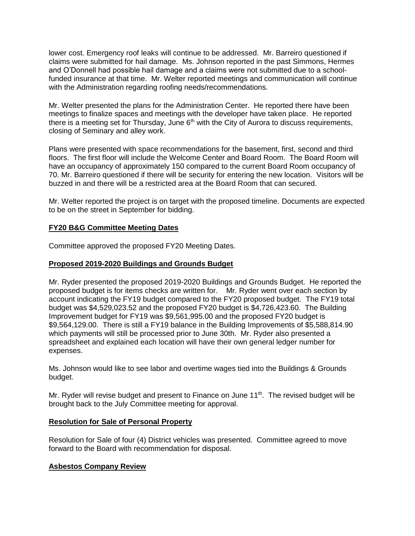lower cost. Emergency roof leaks will continue to be addressed. Mr. Barreiro questioned if claims were submitted for hail damage. Ms. Johnson reported in the past Simmons, Hermes and O'Donnell had possible hail damage and a claims were not submitted due to a schoolfunded insurance at that time. Mr. Welter reported meetings and communication will continue with the Administration regarding roofing needs/recommendations.

Mr. Welter presented the plans for the Administration Center. He reported there have been meetings to finalize spaces and meetings with the developer have taken place. He reported there is a meeting set for Thursday, June  $6<sup>th</sup>$  with the City of Aurora to discuss requirements, closing of Seminary and alley work.

Plans were presented with space recommendations for the basement, first, second and third floors. The first floor will include the Welcome Center and Board Room. The Board Room will have an occupancy of approximately 150 compared to the current Board Room occupancy of 70. Mr. Barreiro questioned if there will be security for entering the new location. Visitors will be buzzed in and there will be a restricted area at the Board Room that can secured.

Mr. Welter reported the project is on target with the proposed timeline. Documents are expected to be on the street in September for bidding.

#### **FY20 B&G Committee Meeting Dates**

Committee approved the proposed FY20 Meeting Dates.

#### **Proposed 2019-2020 Buildings and Grounds Budget**

Mr. Ryder presented the proposed 2019-2020 Buildings and Grounds Budget. He reported the proposed budget is for items checks are written for. Mr. Ryder went over each section by account indicating the FY19 budget compared to the FY20 proposed budget. The FY19 total budget was \$4,529,023.52 and the proposed FY20 budget is \$4,726,423.60. The Building Improvement budget for FY19 was \$9,561,995.00 and the proposed FY20 budget is \$9,564,129.00. There is still a FY19 balance in the Building Improvements of \$5,588,814.90 which payments will still be processed prior to June 30th. Mr. Ryder also presented a spreadsheet and explained each location will have their own general ledger number for expenses.

Ms. Johnson would like to see labor and overtime wages tied into the Buildings & Grounds budget.

Mr. Ryder will revise budget and present to Finance on June 11<sup>th</sup>. The revised budget will be brought back to the July Committee meeting for approval.

#### **Resolution for Sale of Personal Property**

Resolution for Sale of four (4) District vehicles was presented. Committee agreed to move forward to the Board with recommendation for disposal.

## **Asbestos Company Review**